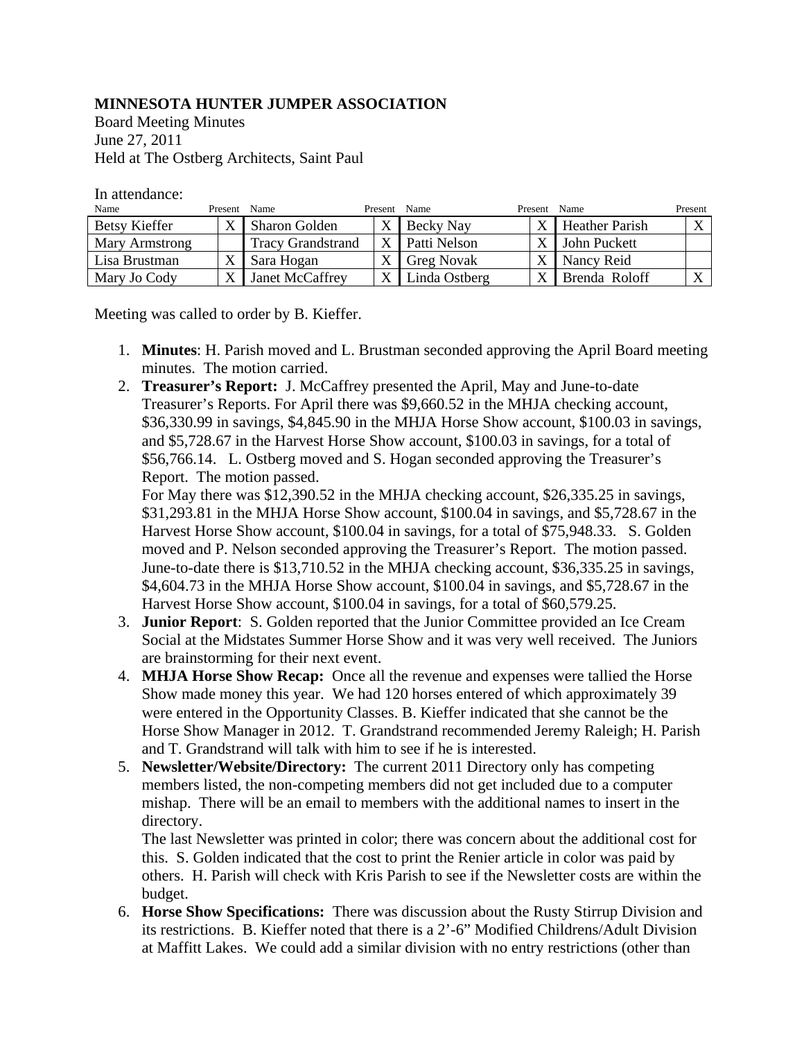## **MINNESOTA HUNTER JUMPER ASSOCIATION**

Board Meeting Minutes June 27, 2011 Held at The Ostberg Architects, Saint Paul

In attendance:

| Name                 | Present Name |                          | Present | Name              | Present | Name                  | Present |
|----------------------|--------------|--------------------------|---------|-------------------|---------|-----------------------|---------|
| <b>Betsy Kieffer</b> |              | Sharon Golden            |         | Becky Nay         | X       | <b>Heather Parish</b> |         |
| Mary Armstrong       |              | <b>Tracy Grandstrand</b> |         | Patti Nelson      | X       | John Puckett          |         |
| Lisa Brustman        |              | Sara Hogan               |         | <b>Greg Novak</b> | X       | Nancy Reid            |         |
| Mary Jo Cody         |              | Janet McCaffrey          |         | Linda Ostberg     | X       | Brenda Roloff         |         |

Meeting was called to order by B. Kieffer.

- 1. **Minutes**: H. Parish moved and L. Brustman seconded approving the April Board meeting minutes. The motion carried.
- 2. **Treasurer's Report:** J. McCaffrey presented the April, May and June-to-date Treasurer's Reports. For April there was \$9,660.52 in the MHJA checking account, \$36,330.99 in savings, \$4,845.90 in the MHJA Horse Show account, \$100.03 in savings, and \$5,728.67 in the Harvest Horse Show account, \$100.03 in savings, for a total of \$56,766.14. L. Ostberg moved and S. Hogan seconded approving the Treasurer's Report. The motion passed.

For May there was \$12,390.52 in the MHJA checking account, \$26,335.25 in savings, \$31,293.81 in the MHJA Horse Show account, \$100.04 in savings, and \$5,728.67 in the Harvest Horse Show account, \$100.04 in savings, for a total of \$75,948.33. S. Golden moved and P. Nelson seconded approving the Treasurer's Report. The motion passed. June-to-date there is \$13,710.52 in the MHJA checking account, \$36,335.25 in savings, \$4,604.73 in the MHJA Horse Show account, \$100.04 in savings, and \$5,728.67 in the Harvest Horse Show account, \$100.04 in savings, for a total of \$60,579.25.

- 3. **Junior Report**: S. Golden reported that the Junior Committee provided an Ice Cream Social at the Midstates Summer Horse Show and it was very well received. The Juniors are brainstorming for their next event.
- 4. **MHJA Horse Show Recap:** Once all the revenue and expenses were tallied the Horse Show made money this year. We had 120 horses entered of which approximately 39 were entered in the Opportunity Classes. B. Kieffer indicated that she cannot be the Horse Show Manager in 2012. T. Grandstrand recommended Jeremy Raleigh; H. Parish and T. Grandstrand will talk with him to see if he is interested.
- 5. **Newsletter/Website/Directory:** The current 2011 Directory only has competing members listed, the non-competing members did not get included due to a computer mishap. There will be an email to members with the additional names to insert in the directory.

The last Newsletter was printed in color; there was concern about the additional cost for this. S. Golden indicated that the cost to print the Renier article in color was paid by others. H. Parish will check with Kris Parish to see if the Newsletter costs are within the budget.

6. **Horse Show Specifications:** There was discussion about the Rusty Stirrup Division and its restrictions. B. Kieffer noted that there is a 2'-6" Modified Childrens/Adult Division at Maffitt Lakes. We could add a similar division with no entry restrictions (other than